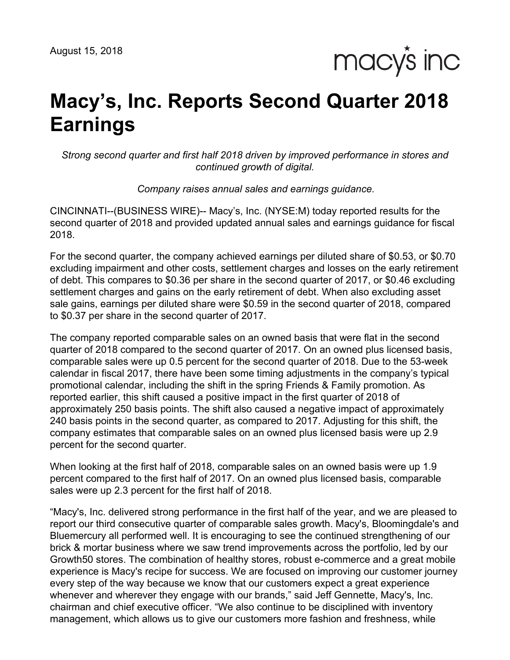macy's inc

# **Macy's, Inc. Reports Second Quarter 2018 Earnings**

*Strong second quarter and first half 2018 driven by improved performance in stores and continued growth of digital.*

*Company raises annual sales and earnings guidance.*

CINCINNATI--(BUSINESS WIRE)-- Macy's, Inc. (NYSE:M) today reported results for the second quarter of 2018 and provided updated annual sales and earnings guidance for fiscal 2018.

For the second quarter, the company achieved earnings per diluted share of \$0.53, or \$0.70 excluding impairment and other costs, settlement charges and losses on the early retirement of debt. This compares to \$0.36 per share in the second quarter of 2017, or \$0.46 excluding settlement charges and gains on the early retirement of debt. When also excluding asset sale gains, earnings per diluted share were \$0.59 in the second quarter of 2018, compared to \$0.37 per share in the second quarter of 2017.

The company reported comparable sales on an owned basis that were flat in the second quarter of 2018 compared to the second quarter of 2017. On an owned plus licensed basis, comparable sales were up 0.5 percent for the second quarter of 2018. Due to the 53-week calendar in fiscal 2017, there have been some timing adjustments in the company's typical promotional calendar, including the shift in the spring Friends & Family promotion. As reported earlier, this shift caused a positive impact in the first quarter of 2018 of approximately 250 basis points. The shift also caused a negative impact of approximately 240 basis points in the second quarter, as compared to 2017. Adjusting for this shift, the company estimates that comparable sales on an owned plus licensed basis were up 2.9 percent for the second quarter.

When looking at the first half of 2018, comparable sales on an owned basis were up 1.9 percent compared to the first half of 2017. On an owned plus licensed basis, comparable sales were up 2.3 percent for the first half of 2018.

"Macy's, Inc. delivered strong performance in the first half of the year, and we are pleased to report our third consecutive quarter of comparable sales growth. Macy's, Bloomingdale's and Bluemercury all performed well. It is encouraging to see the continued strengthening of our brick & mortar business where we saw trend improvements across the portfolio, led by our Growth50 stores. The combination of healthy stores, robust e-commerce and a great mobile experience is Macy's recipe for success. We are focused on improving our customer journey every step of the way because we know that our customers expect a great experience whenever and wherever they engage with our brands," said Jeff Gennette, Macy's, Inc. chairman and chief executive officer. "We also continue to be disciplined with inventory management, which allows us to give our customers more fashion and freshness, while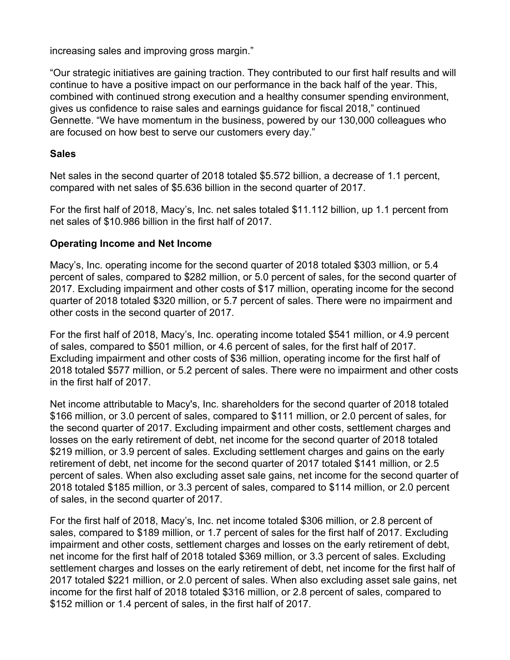increasing sales and improving gross margin."

"Our strategic initiatives are gaining traction. They contributed to our first half results and will continue to have a positive impact on our performance in the back half of the year. This, combined with continued strong execution and a healthy consumer spending environment, gives us confidence to raise sales and earnings guidance for fiscal 2018," continued Gennette. "We have momentum in the business, powered by our 130,000 colleagues who are focused on how best to serve our customers every day."

#### **Sales**

Net sales in the second quarter of 2018 totaled \$5.572 billion, a decrease of 1.1 percent, compared with net sales of \$5.636 billion in the second quarter of 2017.

For the first half of 2018, Macy's, Inc. net sales totaled \$11.112 billion, up 1.1 percent from net sales of \$10.986 billion in the first half of 2017.

#### **Operating Income and Net Income**

Macy's, Inc. operating income for the second quarter of 2018 totaled \$303 million, or 5.4 percent of sales, compared to \$282 million, or 5.0 percent of sales, for the second quarter of 2017. Excluding impairment and other costs of \$17 million, operating income for the second quarter of 2018 totaled \$320 million, or 5.7 percent of sales. There were no impairment and other costs in the second quarter of 2017.

For the first half of 2018, Macy's, Inc. operating income totaled \$541 million, or 4.9 percent of sales, compared to \$501 million, or 4.6 percent of sales, for the first half of 2017. Excluding impairment and other costs of \$36 million, operating income for the first half of 2018 totaled \$577 million, or 5.2 percent of sales. There were no impairment and other costs in the first half of 2017.

Net income attributable to Macy's, Inc. shareholders for the second quarter of 2018 totaled \$166 million, or 3.0 percent of sales, compared to \$111 million, or 2.0 percent of sales, for the second quarter of 2017. Excluding impairment and other costs, settlement charges and losses on the early retirement of debt, net income for the second quarter of 2018 totaled \$219 million, or 3.9 percent of sales. Excluding settlement charges and gains on the early retirement of debt, net income for the second quarter of 2017 totaled \$141 million, or 2.5 percent of sales. When also excluding asset sale gains, net income for the second quarter of 2018 totaled \$185 million, or 3.3 percent of sales, compared to \$114 million, or 2.0 percent of sales, in the second quarter of 2017.

For the first half of 2018, Macy's, Inc. net income totaled \$306 million, or 2.8 percent of sales, compared to \$189 million, or 1.7 percent of sales for the first half of 2017. Excluding impairment and other costs, settlement charges and losses on the early retirement of debt, net income for the first half of 2018 totaled \$369 million, or 3.3 percent of sales. Excluding settlement charges and losses on the early retirement of debt, net income for the first half of 2017 totaled \$221 million, or 2.0 percent of sales. When also excluding asset sale gains, net income for the first half of 2018 totaled \$316 million, or 2.8 percent of sales, compared to \$152 million or 1.4 percent of sales, in the first half of 2017.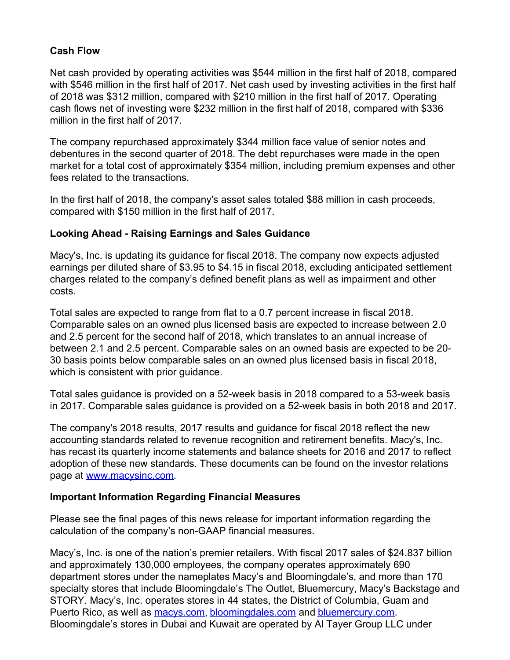#### **Cash Flow**

Net cash provided by operating activities was \$544 million in the first half of 2018, compared with \$546 million in the first half of 2017. Net cash used by investing activities in the first half of 2018 was \$312 million, compared with \$210 million in the first half of 2017. Operating cash flows net of investing were \$232 million in the first half of 2018, compared with \$336 million in the first half of 2017.

The company repurchased approximately \$344 million face value of senior notes and debentures in the second quarter of 2018. The debt repurchases were made in the open market for a total cost of approximately \$354 million, including premium expenses and other fees related to the transactions.

In the first half of 2018, the company's asset sales totaled \$88 million in cash proceeds, compared with \$150 million in the first half of 2017.

#### **Looking Ahead - Raising Earnings and Sales Guidance**

Macy's, Inc. is updating its guidance for fiscal 2018. The company now expects adjusted earnings per diluted share of \$3.95 to \$4.15 in fiscal 2018, excluding anticipated settlement charges related to the company's defined benefit plans as well as impairment and other costs.

Total sales are expected to range from flat to a 0.7 percent increase in fiscal 2018. Comparable sales on an owned plus licensed basis are expected to increase between 2.0 and 2.5 percent for the second half of 2018, which translates to an annual increase of between 2.1 and 2.5 percent. Comparable sales on an owned basis are expected to be 20- 30 basis points below comparable sales on an owned plus licensed basis in fiscal 2018, which is consistent with prior guidance.

Total sales guidance is provided on a 52-week basis in 2018 compared to a 53-week basis in 2017. Comparable sales guidance is provided on a 52-week basis in both 2018 and 2017.

The company's 2018 results, 2017 results and guidance for fiscal 2018 reflect the new accounting standards related to revenue recognition and retirement benefits. Macy's, Inc. has recast its quarterly income statements and balance sheets for 2016 and 2017 to reflect adoption of these new standards. These documents can be found on the investor relations page at [www.macysinc.com](http://www.macysinc.com).

#### **Important Information Regarding Financial Measures**

Please see the final pages of this news release for important information regarding the calculation of the company's non-GAAP financial measures.

Macy's, Inc. is one of the nation's premier retailers. With fiscal 2017 sales of \$24.837 billion and approximately 130,000 employees, the company operates approximately 690 department stores under the nameplates Macy's and Bloomingdale's, and more than 170 specialty stores that include Bloomingdale's The Outlet, Bluemercury, Macy's Backstage and STORY. Macy's, Inc. operates stores in 44 states, the District of Columbia, Guam and Puerto Rico, as well as [macys.com](http://macys.com), [bloomingdales.com](http://bloomingdales.com) and [bluemercury.com](http://bluemercury.com). Bloomingdale's stores in Dubai and Kuwait are operated by Al Tayer Group LLC under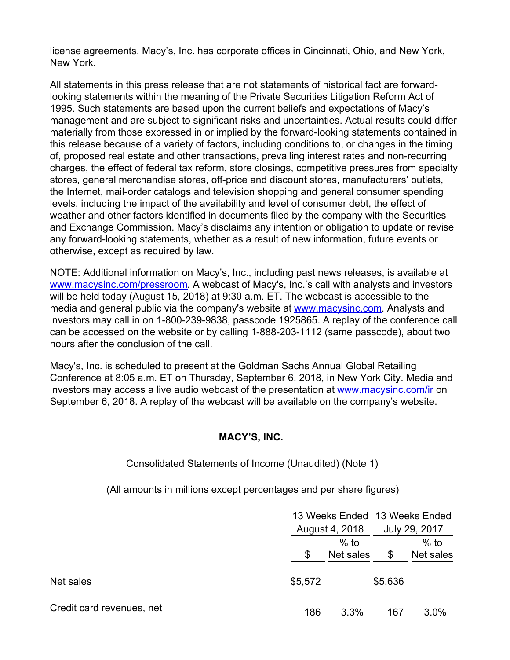license agreements. Macy's, Inc. has corporate offices in Cincinnati, Ohio, and New York, New York.

All statements in this press release that are not statements of historical fact are forwardlooking statements within the meaning of the Private Securities Litigation Reform Act of 1995. Such statements are based upon the current beliefs and expectations of Macy's management and are subject to significant risks and uncertainties. Actual results could differ materially from those expressed in or implied by the forward-looking statements contained in this release because of a variety of factors, including conditions to, or changes in the timing of, proposed real estate and other transactions, prevailing interest rates and non-recurring charges, the effect of federal tax reform, store closings, competitive pressures from specialty stores, general merchandise stores, off-price and discount stores, manufacturers' outlets, the Internet, mail-order catalogs and television shopping and general consumer spending levels, including the impact of the availability and level of consumer debt, the effect of weather and other factors identified in documents filed by the company with the Securities and Exchange Commission. Macy's disclaims any intention or obligation to update or revise any forward-looking statements, whether as a result of new information, future events or otherwise, except as required by law.

NOTE: Additional information on Macy's, Inc., including past news releases, is available at [www.macysinc.com/pressroom](http://www.macysinc.com/pressroom). A webcast of Macy's, Inc.'s call with analysts and investors will be held today (August 15, 2018) at 9:30 a.m. ET. The webcast is accessible to the media and general public via the company's website at [www.macysinc.com](http://www.macysinc.com). Analysts and investors may call in on 1-800-239-9838, passcode 1925865. A replay of the conference call can be accessed on the website or by calling 1-888-203-1112 (same passcode), about two hours after the conclusion of the call.

Macy's, Inc. is scheduled to present at the Goldman Sachs Annual Global Retailing Conference at 8:05 a.m. ET on Thursday, September 6, 2018, in New York City. Media and investors may access a live audio webcast of the presentation at [www.macysinc.com/ir](http://www.macysinc.com/ir) on September 6, 2018. A replay of the webcast will be available on the company's website.

#### **MACY'S, INC.**

#### Consolidated Statements of Income (Unaudited) (Note 1)

(All amounts in millions except percentages and per share figures)

|                           |         |                                       | 13 Weeks Ended 13 Weeks Ended<br>July 29, 2017 |                     |  |  |  |
|---------------------------|---------|---------------------------------------|------------------------------------------------|---------------------|--|--|--|
|                           | \$      | August 4, 2018<br>$%$ to<br>Net sales | \$                                             | $%$ to<br>Net sales |  |  |  |
| Net sales                 | \$5,572 |                                       | \$5,636                                        |                     |  |  |  |
| Credit card revenues, net | 186     | 3.3%                                  | 167                                            | 3.0%                |  |  |  |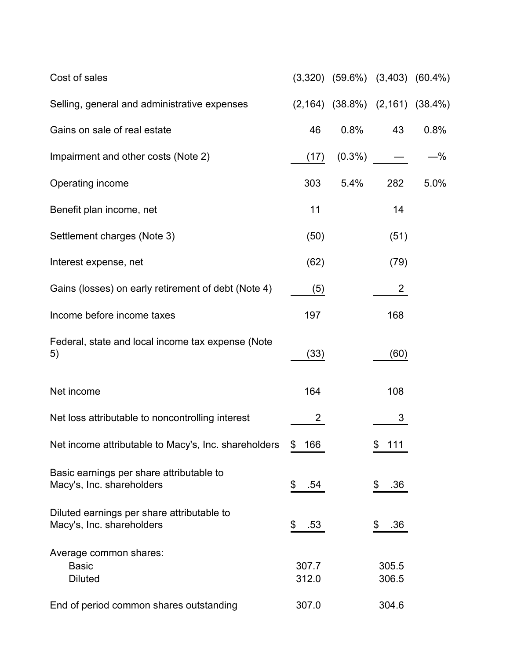| Cost of sales                                                           |                | $(3,320)$ $(59.6\%)$ $(3,403)$ $(60.4\%)$ |                |       |
|-------------------------------------------------------------------------|----------------|-------------------------------------------|----------------|-------|
| Selling, general and administrative expenses                            |                | $(2,164)$ $(38.8\%)$ $(2,161)$ $(38.4\%)$ |                |       |
| Gains on sale of real estate                                            | 46             | 0.8%                                      | 43             | 0.8%  |
| Impairment and other costs (Note 2)                                     | (17)           | $(0.3\%)$                                 |                | $-\%$ |
| Operating income                                                        | 303            | 5.4%                                      | 282            | 5.0%  |
| Benefit plan income, net                                                | 11             |                                           | 14             |       |
| Settlement charges (Note 3)                                             | (50)           |                                           | (51)           |       |
| Interest expense, net                                                   | (62)           |                                           | (79)           |       |
| Gains (losses) on early retirement of debt (Note 4)                     | (5)            |                                           | $\overline{2}$ |       |
| Income before income taxes                                              | 197            |                                           | 168            |       |
| Federal, state and local income tax expense (Note<br>5)                 | (33)           |                                           | (60)           |       |
| Net income                                                              | 164            |                                           | 108            |       |
| Net loss attributable to noncontrolling interest                        | 2              |                                           | 3              |       |
| Net income attributable to Macy's, Inc. shareholders                    | 100<br>Φ       |                                           | 111<br>Φ       |       |
| Basic earnings per share attributable to<br>Macy's, Inc. shareholders   | \$<br>.54      |                                           | .36<br>\$      |       |
| Diluted earnings per share attributable to<br>Macy's, Inc. shareholders | \$<br>.53      |                                           | .36<br>\$      |       |
| Average common shares:<br><b>Basic</b><br><b>Diluted</b>                | 307.7<br>312.0 |                                           | 305.5<br>306.5 |       |
| End of period common shares outstanding                                 | 307.0          |                                           | 304.6          |       |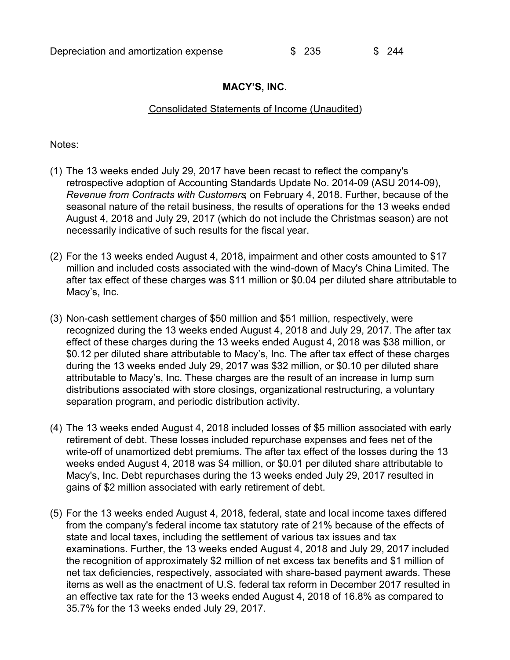#### Consolidated Statements of Income (Unaudited)

Notes:

- (1) The 13 weeks ended July 29, 2017 have been recast to reflect the company's retrospective adoption of Accounting Standards Update No. 2014-09 (ASU 2014-09), *Revenue from Contracts with Customers*, on February 4, 2018. Further, because of the seasonal nature of the retail business, the results of operations for the 13 weeks ended August 4, 2018 and July 29, 2017 (which do not include the Christmas season) are not necessarily indicative of such results for the fiscal year.
- (2) For the 13 weeks ended August 4, 2018, impairment and other costs amounted to \$17 million and included costs associated with the wind-down of Macy's China Limited. The after tax effect of these charges was \$11 million or \$0.04 per diluted share attributable to Macy's, Inc.
- (3) Non-cash settlement charges of \$50 million and \$51 million, respectively, were recognized during the 13 weeks ended August 4, 2018 and July 29, 2017. The after tax effect of these charges during the 13 weeks ended August 4, 2018 was \$38 million, or \$0.12 per diluted share attributable to Macy's, Inc. The after tax effect of these charges during the 13 weeks ended July 29, 2017 was \$32 million, or \$0.10 per diluted share attributable to Macy's, Inc. These charges are the result of an increase in lump sum distributions associated with store closings, organizational restructuring, a voluntary separation program, and periodic distribution activity.
- (4) The 13 weeks ended August 4, 2018 included losses of \$5 million associated with early retirement of debt. These losses included repurchase expenses and fees net of the write-off of unamortized debt premiums. The after tax effect of the losses during the 13 weeks ended August 4, 2018 was \$4 million, or \$0.01 per diluted share attributable to Macy's, Inc. Debt repurchases during the 13 weeks ended July 29, 2017 resulted in gains of \$2 million associated with early retirement of debt.
- (5) For the 13 weeks ended August 4, 2018, federal, state and local income taxes differed from the company's federal income tax statutory rate of 21% because of the effects of state and local taxes, including the settlement of various tax issues and tax examinations. Further, the 13 weeks ended August 4, 2018 and July 29, 2017 included the recognition of approximately \$2 million of net excess tax benefits and \$1 million of net tax deficiencies, respectively, associated with share-based payment awards. These items as well as the enactment of U.S. federal tax reform in December 2017 resulted in an effective tax rate for the 13 weeks ended August 4, 2018 of 16.8% as compared to 35.7% for the 13 weeks ended July 29, 2017.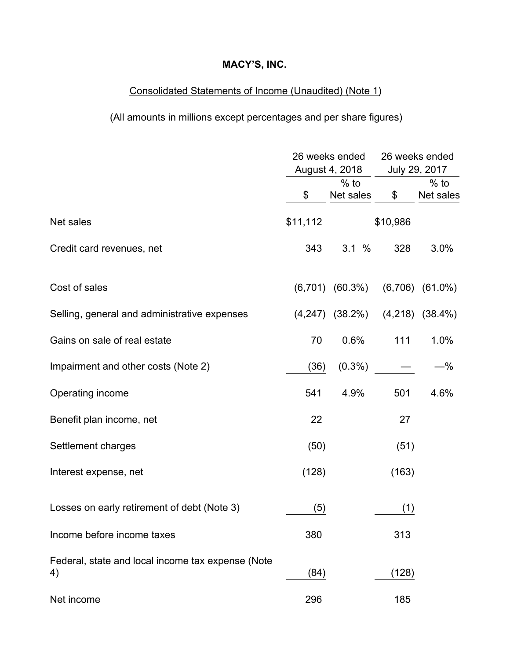# Consolidated Statements of Income (Unaudited) (Note 1)

# (All amounts in millions except percentages and per share figures)

|                                                         |          | 26 weeks ended<br>August 4, 2018 |          | 26 weeks ended<br>July 29, 2017 |
|---------------------------------------------------------|----------|----------------------------------|----------|---------------------------------|
|                                                         | \$       | $%$ to<br>Net sales              | \$       | $%$ to<br>Net sales             |
| Net sales                                               | \$11,112 |                                  | \$10,986 |                                 |
| Credit card revenues, net                               | 343      | 3.1%                             | 328      | 3.0%                            |
| Cost of sales                                           | (6,701)  | $(60.3\%)$                       | (6,706)  | $(61.0\%)$                      |
| Selling, general and administrative expenses            |          | $(4,247)$ $(38.2\%)$             |          | $(4,218)$ $(38.4\%)$            |
| Gains on sale of real estate                            | 70       | 0.6%                             | 111      | 1.0%                            |
| Impairment and other costs (Note 2)                     | (36)     | $(0.3\%)$                        |          | $-%$                            |
| Operating income                                        | 541      | 4.9%                             | 501      | 4.6%                            |
| Benefit plan income, net                                | 22       |                                  | 27       |                                 |
| Settlement charges                                      | (50)     |                                  | (51)     |                                 |
| Interest expense, net                                   | (128)    |                                  | (163)    |                                 |
| Losses on early retirement of debt (Note 3)             | (5)      |                                  | (1)      |                                 |
| Income before income taxes                              | 380      |                                  | 313      |                                 |
| Federal, state and local income tax expense (Note<br>4) | (84)     |                                  | (128)    |                                 |
| Net income                                              | 296      |                                  | 185      |                                 |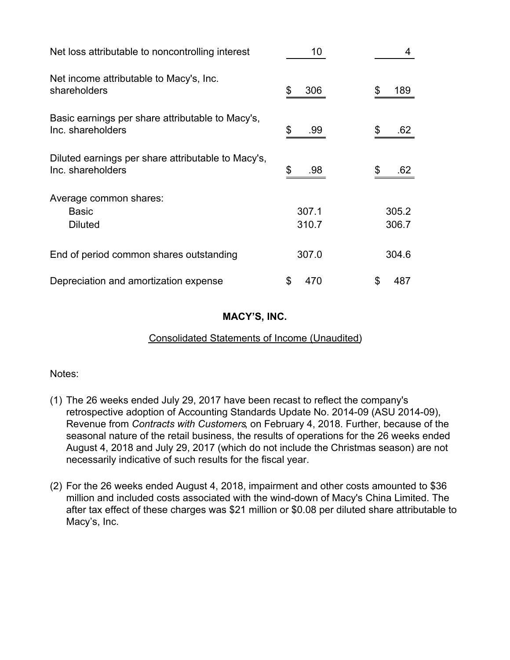| Net loss attributable to noncontrolling interest                        | 10        |           |
|-------------------------------------------------------------------------|-----------|-----------|
| Net income attributable to Macy's, Inc.<br>shareholders                 | \$<br>306 | 189       |
| Basic earnings per share attributable to Macy's,<br>Inc. shareholders   | \$<br>.99 | \$<br>.62 |
| Diluted earnings per share attributable to Macy's,<br>Inc. shareholders | \$<br>.98 | .62       |
| Average common shares:                                                  |           |           |
| <b>Basic</b>                                                            | 307.1     | 305.2     |
| <b>Diluted</b>                                                          | 310.7     | 306.7     |
| End of period common shares outstanding                                 | 307.0     | 304.6     |
| Depreciation and amortization expense                                   | \$<br>470 | S<br>487  |

#### Consolidated Statements of Income (Unaudited)

#### Notes:

- (1) The 26 weeks ended July 29, 2017 have been recast to reflect the company's retrospective adoption of Accounting Standards Update No. 2014-09 (ASU 2014-09), Revenue from *Contracts with Customers*, on February 4, 2018. Further, because of the seasonal nature of the retail business, the results of operations for the 26 weeks ended August 4, 2018 and July 29, 2017 (which do not include the Christmas season) are not necessarily indicative of such results for the fiscal year.
- (2) For the 26 weeks ended August 4, 2018, impairment and other costs amounted to \$36 million and included costs associated with the wind-down of Macy's China Limited. The after tax effect of these charges was \$21 million or \$0.08 per diluted share attributable to Macy's, Inc.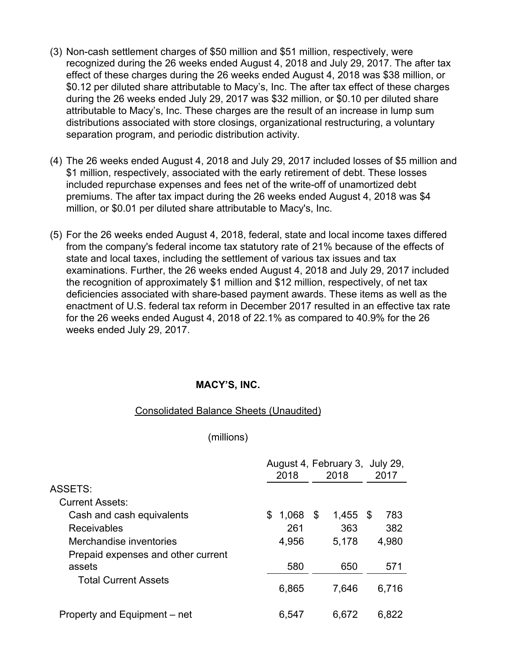- (3) Non-cash settlement charges of \$50 million and \$51 million, respectively, were recognized during the 26 weeks ended August 4, 2018 and July 29, 2017. The after tax effect of these charges during the 26 weeks ended August 4, 2018 was \$38 million, or \$0.12 per diluted share attributable to Macy's, Inc. The after tax effect of these charges during the 26 weeks ended July 29, 2017 was \$32 million, or \$0.10 per diluted share attributable to Macy's, Inc. These charges are the result of an increase in lump sum distributions associated with store closings, organizational restructuring, a voluntary separation program, and periodic distribution activity.
- (4) The 26 weeks ended August 4, 2018 and July 29, 2017 included losses of \$5 million and \$1 million, respectively, associated with the early retirement of debt. These losses included repurchase expenses and fees net of the write-off of unamortized debt premiums. The after tax impact during the 26 weeks ended August 4, 2018 was \$4 million, or \$0.01 per diluted share attributable to Macy's, Inc.
- (5) For the 26 weeks ended August 4, 2018, federal, state and local income taxes differed from the company's federal income tax statutory rate of 21% because of the effects of state and local taxes, including the settlement of various tax issues and tax examinations. Further, the 26 weeks ended August 4, 2018 and July 29, 2017 included the recognition of approximately \$1 million and \$12 million, respectively, of net tax deficiencies associated with share-based payment awards. These items as well as the enactment of U.S. federal tax reform in December 2017 resulted in an effective tax rate for the 26 weeks ended August 4, 2018 of 22.1% as compared to 40.9% for the 26 weeks ended July 29, 2017.

#### Consolidated Balance Sheets (Unaudited)

#### (millions)

|                                              | 2018        | August 4, February 3,<br>2018 | July 29,<br>2017 |
|----------------------------------------------|-------------|-------------------------------|------------------|
| <b>ASSETS:</b>                               |             |                               |                  |
| <b>Current Assets:</b>                       |             |                               |                  |
| Cash and cash equivalents                    | 1,068<br>\$ | $1,455$ \$<br>\$              | 783              |
| <b>Receivables</b>                           | 261         | 363                           | 382              |
| Merchandise inventories                      | 4,956       | 5,178                         | 4,980            |
| Prepaid expenses and other current<br>assets | 580         | 650                           | 571              |
| <b>Total Current Assets</b>                  | 6,865       | 7,646                         | 6,716            |
| Property and Equipment – net                 | 6,547       | 6,672                         | 6,822            |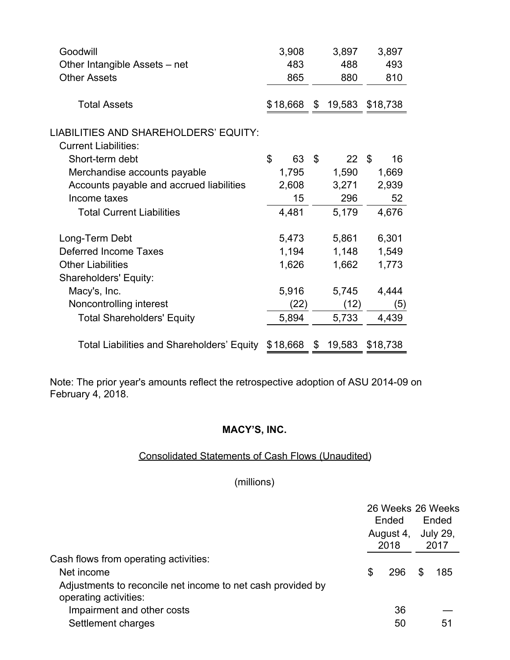| Goodwill                                                             | 3,908    |       | 3,897           | 3,897    |
|----------------------------------------------------------------------|----------|-------|-----------------|----------|
| Other Intangible Assets – net                                        | 483      |       | 488             | 493      |
| <b>Other Assets</b>                                                  | 865      |       | 880             | 810      |
| <b>Total Assets</b>                                                  | \$18,668 | \$    | 19,583          | \$18,738 |
| LIABILITIES AND SHAREHOLDERS' EQUITY:<br><b>Current Liabilities:</b> |          |       |                 |          |
| Short-term debt                                                      | \$<br>63 | \$    | $22 \text{ } $$ | 16       |
| Merchandise accounts payable                                         | 1,795    | 1,590 |                 | 1,669    |
| Accounts payable and accrued liabilities                             | 2,608    |       |                 | 2,939    |
| Income taxes                                                         | 15       | 296   |                 | 52       |
| <b>Total Current Liabilities</b>                                     | 4,481    |       | 5,179           | 4,676    |
| Long-Term Debt                                                       | 5,473    |       | 5,861           | 6,301    |
| <b>Deferred Income Taxes</b>                                         | 1,194    |       | 1,148           | 1,549    |
| <b>Other Liabilities</b>                                             | 1,626    |       | 1,662           | 1,773    |
| <b>Shareholders' Equity:</b>                                         |          |       |                 |          |
| Macy's, Inc.                                                         | 5,916    |       | 5,745           | 4,444    |
| Noncontrolling interest                                              | (22)     |       | (12)            | (5)      |
| <b>Total Shareholders' Equity</b>                                    | 5,894    |       | 5,733           | 4,439    |
| Total Liabilities and Shareholders' Equity                           | \$18,668 | \$    | 19,583          | \$18,738 |

Note: The prior year's amounts reflect the retrospective adoption of ASU 2014-09 on February 4, 2018.

### **MACY'S, INC.**

# Consolidated Statements of Cash Flows (Unaudited)

# (millions)

|                                                                                      |                   | Ended | 26 Weeks 26 Weeks<br>Ended |     |
|--------------------------------------------------------------------------------------|-------------------|-------|----------------------------|-----|
|                                                                                      | August 4,<br>2018 |       | July 29,<br>2017           |     |
| Cash flows from operating activities:<br>Net income                                  | \$                | 296   |                            | 185 |
| Adjustments to reconcile net income to net cash provided by<br>operating activities: |                   |       |                            |     |
| Impairment and other costs                                                           |                   | 36    |                            |     |
| Settlement charges                                                                   |                   | 50    |                            | 51  |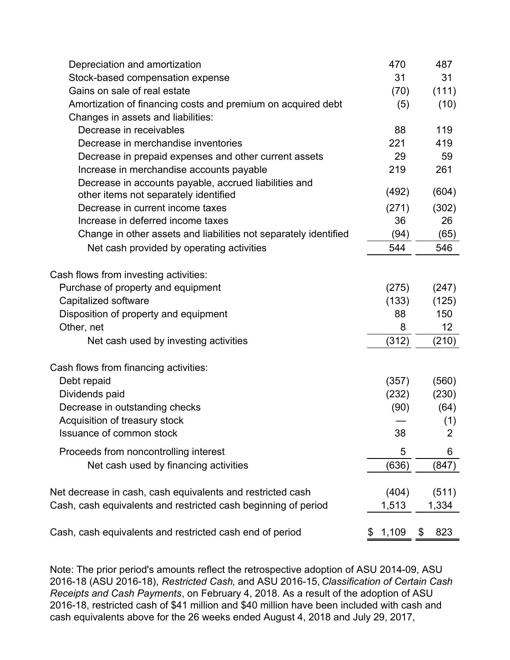| Stock-based compensation expense<br>Gains on sale of real estate<br>Amortization of financing costs and premium on acquired debt<br>Changes in assets and liabilities: | 31<br>(70)<br>(5)<br>88<br>221 | 31<br>(111)<br>(10) |
|------------------------------------------------------------------------------------------------------------------------------------------------------------------------|--------------------------------|---------------------|
|                                                                                                                                                                        |                                |                     |
|                                                                                                                                                                        |                                |                     |
|                                                                                                                                                                        |                                |                     |
|                                                                                                                                                                        |                                |                     |
| Decrease in receivables                                                                                                                                                |                                | 119                 |
| Decrease in merchandise inventories                                                                                                                                    |                                | 419                 |
| Decrease in prepaid expenses and other current assets                                                                                                                  | 29                             | 59                  |
| Increase in merchandise accounts payable                                                                                                                               | 219                            | 261                 |
| Decrease in accounts payable, accrued liabilities and                                                                                                                  |                                |                     |
| other items not separately identified                                                                                                                                  | (492)                          | (604)               |
| Decrease in current income taxes                                                                                                                                       | (271)                          | (302)               |
| Increase in deferred income taxes                                                                                                                                      | 36                             | 26                  |
| Change in other assets and liabilities not separately identified                                                                                                       | (94)                           | (65)                |
| Net cash provided by operating activities                                                                                                                              | 544                            | 546                 |
| Cash flows from investing activities:                                                                                                                                  |                                |                     |
| Purchase of property and equipment                                                                                                                                     | (275)                          | (247)               |
| Capitalized software                                                                                                                                                   | (133)                          | (125)               |
| Disposition of property and equipment                                                                                                                                  | 88                             | 150                 |
| Other, net                                                                                                                                                             | 8                              | 12                  |
| Net cash used by investing activities                                                                                                                                  | (312)                          | (210)               |
| Cash flows from financing activities:                                                                                                                                  |                                |                     |
| Debt repaid                                                                                                                                                            | (357)                          | (560)               |
| Dividends paid                                                                                                                                                         | (232)                          | (230)               |
| Decrease in outstanding checks                                                                                                                                         | (90)                           | (64)                |
| Acquisition of treasury stock                                                                                                                                          |                                | (1)                 |
| Issuance of common stock                                                                                                                                               | 38                             | $\overline{2}$      |
| Proceeds from noncontrolling interest                                                                                                                                  | 5                              | 6                   |
|                                                                                                                                                                        |                                |                     |
| Net cash used by financing activities                                                                                                                                  | (636)                          | (847)               |
| Net decrease in cash, cash equivalents and restricted cash                                                                                                             | (404)                          | (511)               |
| Cash, cash equivalents and restricted cash beginning of period                                                                                                         | 1,513                          | 1,334               |
| Cash, cash equivalents and restricted cash end of period                                                                                                               | 1,109<br>\$                    | 823<br>\$           |

Note: The prior period's amounts reflect the retrospective adoption of ASU 2014-09, ASU 2016-18 (ASU 2016-18), *Restricted Cash*, and ASU 2016-15, *Classification of Certain Cash Receipts and Cash Payments*, on February 4, 2018. As a result of the adoption of ASU 2016-18, restricted cash of \$41 million and \$40 million have been included with cash and cash equivalents above for the 26 weeks ended August 4, 2018 and July 29, 2017,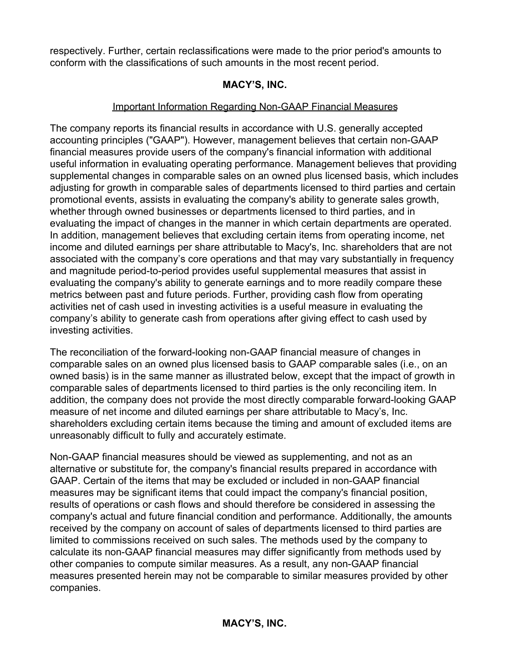respectively. Further, certain reclassifications were made to the prior period's amounts to conform with the classifications of such amounts in the most recent period.

#### **MACY'S, INC.**

#### Important Information Regarding Non-GAAP Financial Measures

The company reports its financial results in accordance with U.S. generally accepted accounting principles ("GAAP"). However, management believes that certain non-GAAP financial measures provide users of the company's financial information with additional useful information in evaluating operating performance. Management believes that providing supplemental changes in comparable sales on an owned plus licensed basis, which includes adjusting for growth in comparable sales of departments licensed to third parties and certain promotional events, assists in evaluating the company's ability to generate sales growth, whether through owned businesses or departments licensed to third parties, and in evaluating the impact of changes in the manner in which certain departments are operated. In addition, management believes that excluding certain items from operating income, net income and diluted earnings per share attributable to Macy's, Inc. shareholders that are not associated with the company's core operations and that may vary substantially in frequency and magnitude period-to-period provides useful supplemental measures that assist in evaluating the company's ability to generate earnings and to more readily compare these metrics between past and future periods. Further, providing cash flow from operating activities net of cash used in investing activities is a useful measure in evaluating the company's ability to generate cash from operations after giving effect to cash used by investing activities.

The reconciliation of the forward-looking non-GAAP financial measure of changes in comparable sales on an owned plus licensed basis to GAAP comparable sales (i.e., on an owned basis) is in the same manner as illustrated below, except that the impact of growth in comparable sales of departments licensed to third parties is the only reconciling item. In addition, the company does not provide the most directly comparable forward-looking GAAP measure of net income and diluted earnings per share attributable to Macy's, Inc. shareholders excluding certain items because the timing and amount of excluded items are unreasonably difficult to fully and accurately estimate.

Non-GAAP financial measures should be viewed as supplementing, and not as an alternative or substitute for, the company's financial results prepared in accordance with GAAP. Certain of the items that may be excluded or included in non-GAAP financial measures may be significant items that could impact the company's financial position, results of operations or cash flows and should therefore be considered in assessing the company's actual and future financial condition and performance. Additionally, the amounts received by the company on account of sales of departments licensed to third parties are limited to commissions received on such sales. The methods used by the company to calculate its non-GAAP financial measures may differ significantly from methods used by other companies to compute similar measures. As a result, any non-GAAP financial measures presented herein may not be comparable to similar measures provided by other companies.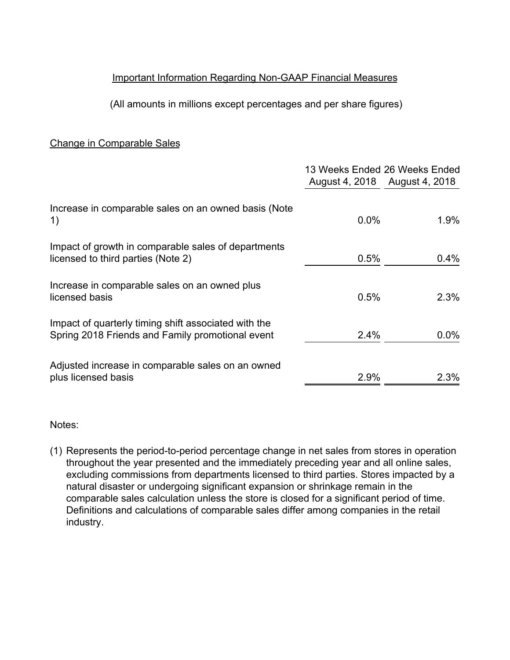### Important Information Regarding Non-GAAP Financial Measures

(All amounts in millions except percentages and per share figures)

#### Change in Comparable Sales

|                                                                                                          |         | 13 Weeks Ended 26 Weeks Ended<br>August 4, 2018 August 4, 2018 |
|----------------------------------------------------------------------------------------------------------|---------|----------------------------------------------------------------|
| Increase in comparable sales on an owned basis (Note<br>1)                                               | $0.0\%$ | $1.9\%$                                                        |
| Impact of growth in comparable sales of departments<br>licensed to third parties (Note 2)                | 0.5%    | 0.4%                                                           |
| Increase in comparable sales on an owned plus<br>licensed basis                                          | 0.5%    | 2.3%                                                           |
| Impact of quarterly timing shift associated with the<br>Spring 2018 Friends and Family promotional event | 2.4%    | $0.0\%$                                                        |
| Adjusted increase in comparable sales on an owned<br>plus licensed basis                                 | 2.9%    | 2.3%                                                           |

#### Notes:

(1) Represents the period-to-period percentage change in net sales from stores in operation throughout the year presented and the immediately preceding year and all online sales, excluding commissions from departments licensed to third parties. Stores impacted by a natural disaster or undergoing significant expansion or shrinkage remain in the comparable sales calculation unless the store is closed for a significant period of time. Definitions and calculations of comparable sales differ among companies in the retail industry.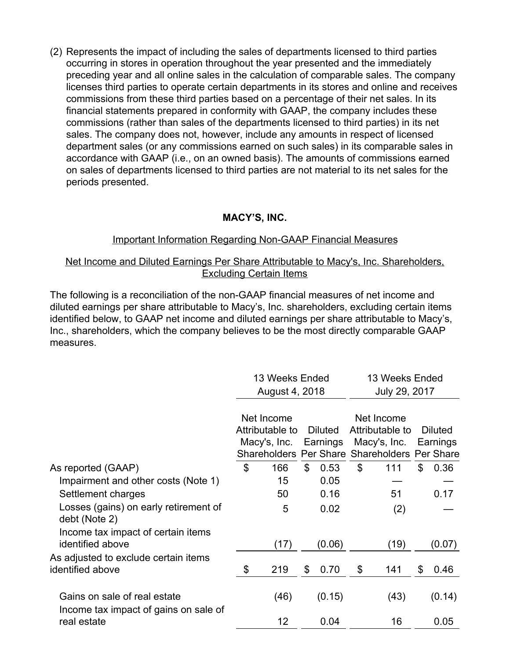(2) Represents the impact of including the sales of departments licensed to third parties occurring in stores in operation throughout the year presented and the immediately preceding year and all online sales in the calculation of comparable sales. The company licenses third parties to operate certain departments in its stores and online and receives commissions from these third parties based on a percentage of their net sales. In its financial statements prepared in conformity with GAAP, the company includes these commissions (rather than sales of the departments licensed to third parties) in its net sales. The company does not, however, include any amounts in respect of licensed department sales (or any commissions earned on such sales) in its comparable sales in accordance with GAAP (i.e., on an owned basis). The amounts of commissions earned on sales of departments licensed to third parties are not material to its net sales for the periods presented.

#### **MACY'S, INC.**

#### Important Information Regarding Non-GAAP Financial Measures

#### Net Income and Diluted Earnings Per Share Attributable to Macy's, Inc. Shareholders, Excluding Certain Items

The following is a reconciliation of the non-GAAP financial measures of net income and diluted earnings per share attributable to Macy's, Inc. shareholders, excluding certain items identified below, to GAAP net income and diluted earnings per share attributable to Macy's, Inc., shareholders, which the company believes to be the most directly comparable GAAP measures.

|                                                          | 13 Weeks Ended |                                               |    |                | 13 Weeks Ended  |              |    |                |  |
|----------------------------------------------------------|----------------|-----------------------------------------------|----|----------------|-----------------|--------------|----|----------------|--|
|                                                          | August 4, 2018 |                                               |    |                | July 29, 2017   |              |    |                |  |
|                                                          |                |                                               |    |                |                 |              |    |                |  |
|                                                          |                | Net Income                                    |    |                |                 | Net Income   |    |                |  |
|                                                          |                | Attributable to                               |    | <b>Diluted</b> | Attributable to |              |    | <b>Diluted</b> |  |
|                                                          |                | Macy's, Inc.                                  |    | Earnings       |                 | Macy's, Inc. |    | Earnings       |  |
|                                                          |                | Shareholders Per Share Shareholders Per Share |    |                |                 |              |    |                |  |
| As reported (GAAP)                                       | \$             | 166                                           | \$ | 0.53           | \$              | 111          | \$ | 0.36           |  |
| Impairment and other costs (Note 1)                      |                | 15                                            |    | 0.05           |                 |              |    |                |  |
| Settlement charges                                       |                | 50                                            |    | 0.16           |                 | 51           |    | 0.17           |  |
| Losses (gains) on early retirement of<br>debt (Note 2)   |                | 5                                             |    | 0.02           |                 | (2)          |    |                |  |
| Income tax impact of certain items<br>identified above   |                | (17)                                          |    | (0.06)         |                 | (19)         |    | (0.07)         |  |
| As adjusted to exclude certain items<br>identified above | \$             | 219                                           | \$ | 0.70           | \$              | 141          | S  | 0.46           |  |
| Gains on sale of real estate                             |                | (46)                                          |    | (0.15)         |                 | (43)         |    | (0.14)         |  |
| Income tax impact of gains on sale of<br>real estate     |                | 12                                            |    | 0.04           |                 | 16           |    | 0.05           |  |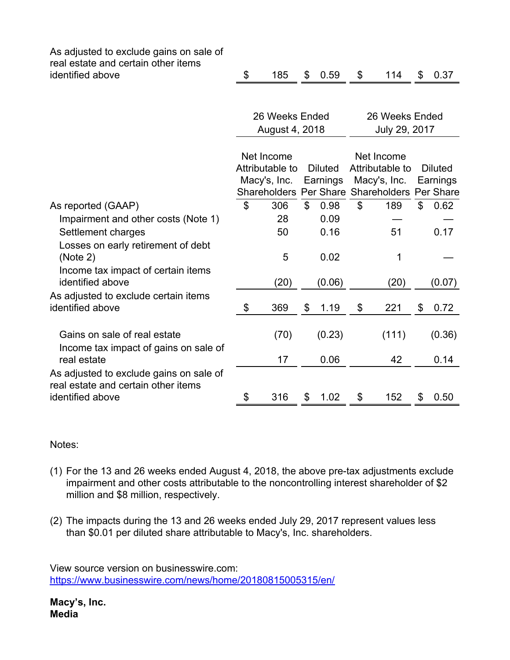As adjusted to exclude gains on sale of real estate and certain other items

| identified above                                                               | \$ | 185                             | \$ | 0.59                       | \$                        | 114                             | \$ | 0.37                       |
|--------------------------------------------------------------------------------|----|---------------------------------|----|----------------------------|---------------------------|---------------------------------|----|----------------------------|
|                                                                                |    |                                 |    |                            |                           |                                 |    |                            |
|                                                                                |    | 26 Weeks Ended                  |    |                            |                           | 26 Weeks Ended                  |    |                            |
|                                                                                |    | August 4, 2018                  |    |                            |                           | July 29, 2017                   |    |                            |
| Net Income                                                                     |    |                                 |    | Net Income                 |                           |                                 |    |                            |
|                                                                                |    | Attributable to<br>Macy's, Inc. |    | <b>Diluted</b><br>Earnings |                           | Attributable to<br>Macy's, Inc. |    | <b>Diluted</b><br>Earnings |
|                                                                                |    | <b>Shareholders Per Share</b>   |    |                            |                           | <b>Shareholders Per Share</b>   |    |                            |
| As reported (GAAP)                                                             | \$ | 306                             | \$ | 0.98                       | $\boldsymbol{\mathsf{S}}$ | 189                             | \$ | 0.62                       |
| Impairment and other costs (Note 1)                                            |    | 28                              |    | 0.09                       |                           |                                 |    |                            |
| Settlement charges                                                             |    | 50                              |    | 0.16                       |                           | 51                              |    | 0.17                       |
| Losses on early retirement of debt<br>(Note 2)                                 |    | 5                               |    | 0.02                       |                           | 1                               |    |                            |
| Income tax impact of certain items<br>identified above                         |    | (20)                            |    | (0.06)                     |                           | (20)                            |    | (0.07)                     |
| As adjusted to exclude certain items<br>identified above                       | \$ | 369                             | \$ | 1.19                       | \$                        | 221                             | \$ | 0.72                       |
| Gains on sale of real estate                                                   |    | (70)                            |    | (0.23)                     |                           | (111)                           |    | (0.36)                     |
| Income tax impact of gains on sale of<br>real estate                           |    | 17                              |    | 0.06                       |                           | 42                              |    | 0.14                       |
| As adjusted to exclude gains on sale of<br>real estate and certain other items |    |                                 |    |                            |                           |                                 |    |                            |
| identified above                                                               | \$ | 316                             | \$ | 1.02                       | \$                        | 152                             | \$ | 0.50                       |

Notes:

- (1) For the 13 and 26 weeks ended August 4, 2018, the above pre-tax adjustments exclude impairment and other costs attributable to the noncontrolling interest shareholder of \$2 million and \$8 million, respectively.
- (2) The impacts during the 13 and 26 weeks ended July 29, 2017 represent values less than \$0.01 per diluted share attributable to Macy's, Inc. shareholders.

View source version on businesswire.com: <https://www.businesswire.com/news/home/20180815005315/en/>

**Macy's, Inc. Media**